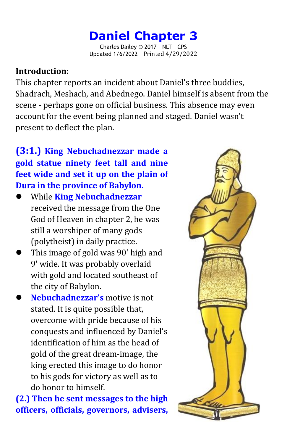### **Daniel Chapter 3** Charles Dailey © 2017 NLT CPS

Updated 1/6/2022 Printed 4/29/2022

# **Introduction:**

This chapter reports an incident about Daniel's three buddies, Shadrach, Meshach, and Abednego. Daniel himself is absent from the scene - perhaps gone on official business. This absence may even account for the event being planned and staged. Daniel wasn't present to deflect the plan.

# **(3:1.) King Nebuchadnezzar made a gold statue ninety feet tall and nine feet wide and set it up on the plain of Dura in the province of Babylon.**

- While **King Nebuchadnezzar** received the message from the One God of Heaven in chapter 2, he was still a worshiper of many gods (polytheist) in daily practice.
- This image of gold was 90' high and 9' wide. It was probably overlaid with gold and located southeast of the city of Babylon.
- **Nebuchadnezzar's** motive is not stated. It is quite possible that, overcome with pride because of his conquests and influenced by Daniel's identification of him as the head of gold of the great dream-image, the king erected this image to do honor to his gods for victory as well as to do honor to himself.

**(2.) Then hesent messages to the high officers, officials, governors, advisers,**

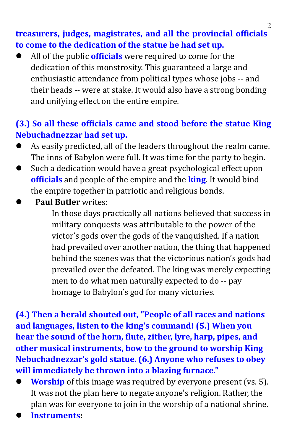## **treasurers, judges, magistrates, and all the provincial officials to come to the dedication of the statue he had set up.**

 All of the public **officials** were required to come for the dedication of this monstrosity. This guaranteed a large and enthusiastic attendance from political types whose jobs -- and their heads -- were at stake. It would also have a strong bonding and unifying effect on the entire empire.

# **(3.) So all these officials came and stood before the statue King Nebuchadnezzar had set up.**

- As easily predicted, all of the leaders throughout the realm came.The inns of Babylon were full. It was time for the party to begin.
- Such a dedication would have a great psychological effect upon **officials** and people of the empire and the **king**. It would bind the empire together in patriotic and religious bonds.
- **Paul Butler** writes:

In those days practically all nations believed that success in military conquests was attributable to the power of the victor's gods over the gods of the vanquished.If a nation had prevailed over another nation, the thing that happened behind the scenes was that the victorious nation's gods had prevailed over the defeated. The king was merely expecting men to do what men naturally expected to do -- pay homage to Babylon's god for many victories.

**(4.) Then a herald shouted out, "People of all races and nations and languages, listen to the king's command! (5.) When you hear the sound of the horn, flute, zither, lyre, harp, pipes, and other musical instruments, bow to the ground to worship King Nebuchadnezzar's gold statue. (6.) Anyone who refuses to obey will immediately be thrown into a blazing furnace."**

- **Worship** of this image was required by everyone present (vs. 5). It was not the plan here to negate anyone's religion. Rather, the plan was for everyone to join in the worship of a national shrine.
- **Instruments:**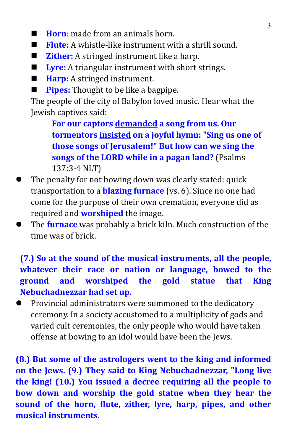- **Horn**: made from an animals horn.
- **Flute:** A whistle-like instrument with a shrill sound.
- **Zither:** A stringed instrument like a harp.
- **Lyre:** A triangular instrument with short strings.
- **Harp:** A stringed instrument.
- **Pipes:** Thought to be like a bagpipe.

The people of the city of Babylon loved music. Hear what the Jewish captives said:

**For our captors demanded a song from us. Our tormentors insisted on a joyful hymn: "Sing us one of those songs of Jerusalem!" But how can we sing the songs of the LORD while in a pagan land?** (Psalms 137:3-4 NLT)

- The penalty for not bowing down was clearly stated: quick transportation to a **blazing furnace** (vs. 6). Since no one had come for the purpose of their own cremation, everyone did as required and **worshiped** the image.
- The **furnace** was probably a brick kiln. Much construction of the time was of brick.

**(7.) So at the sound of the musical instruments, all the people, whatever their race or nation or language, bowed to the ground and worshiped the gold statue that King Nebuchadnezzar had set up.**

 Provincial administrators were summoned to the dedicatory ceremony. In a society accustomed to a multiplicity of gods and varied cult ceremonies, the only people who would have taken offense at bowing to an idol would have been the Jews.

**(8.) But some of the astrologers went to the king and informed on the Jews. (9.) They said to King Nebuchadnezzar, "Long live the king! (10.) You issued a decree requiring all the people to bow down and worship the gold statue when they hear the sound of the horn, flute, zither, lyre, harp, pipes, and other musical instruments.**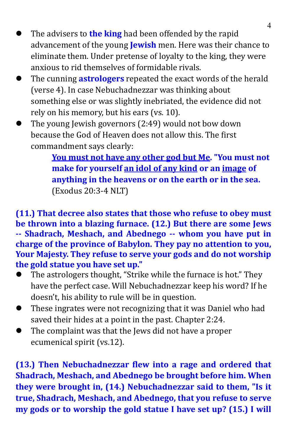- The advisers to **the king** had been offended by the rapid advancement of the young **Jewish** men. Here was their chance to eliminate them. Under pretense of loyalty to the king, they were anxious to rid themselves of formidable rivals.
- The cunning **astrologers** repeated the exact words of the herald (verse 4). In case Nebuchadnezzar was thinking about something else or was slightly inebriated, the evidence did not rely on his memory, but his ears (vs. 10).
- The young Jewish governors (2:49) would not bow down because the God of Heaven does not allow this. The first commandment says clearly:

**You must not have any other god but Me. "You must not make for yourself an idol of any kind or an image of anything in the heavens or on the earth or in the sea.** (Exodus 20:3-4 NLT)

**(11.) That decree also states that those who refuse to obey must be thrown into a blazing furnace. (12.) But there are some Jews -- Shadrach, Meshach, and Abednego -- whom you have put in charge of the province of Babylon. They pay no attention to you, Your Majesty. They refuse to serve your gods and do not worship the gold statue you have set up."**

- The astrologers thought, "Strike while the furnace is hot." They have the perfect case. Will Nebuchadnezzar keep his word? If he doesn't, his ability to rule will be in question.
- These ingrates were not recognizing that it was Daniel who had saved their hides at a point in the past. Chapter 2:24.
- The complaint was that the Jews did not have a proper ecumenical spirit (vs.12).

**(13.) Then Nebuchadnezzar flew into a rage and ordered that Shadrach, Meshach, and Abednego be brought before him. When they were brought in, (14.) Nebuchadnezzar said to them, "Is it true, Shadrach, Meshach, and Abednego, that you refuse to serve my gods or to worship the gold statue I have set up? (15.) I will**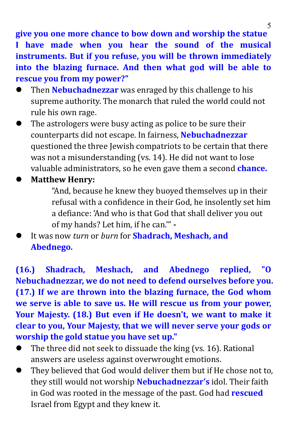**give you one more chance to bow down and worship the statue I have made when you hear the sound of the musical instruments. But if you refuse, you will be thrown immediately into the blazing furnace. And then what god will be able to rescue you from my power?"**

- Then **Nebuchadnezzar** was enraged by this challenge to his supreme authority. The monarch that ruled the world could not rule his own rage.
- The astrologers were busy acting as police to be sure their counterparts did not escape. In fairness, **Nebuchadnezzar** questioned the three Jewish compatriots to be certain that there was not a misunderstanding (vs. 14). He did not want to lose valuable administrators, so he even gave them a second **chance.**

### **Matthew Henry:**

"And, because he knew they buoyed themselves up in their refusal with a confidence in their God, he insolently set him a defiance: 'And who is that God that shall deliver you out of my hands? Lethim, if he can.'" **-**

 It was now *turn* or *burn* for**Shadrach, Meshach, and Abednego.**

**(16.) Shadrach, Meshach, and Abednego replied, "O Nebuchadnezzar, we do notneed to defend ourselves before you. (17.) If we are thrown into the blazing furnace, the God whom we serve is able to save us. He will rescue usfrom your power, Your Majesty. (18.) But even if He doesn't, we want to make it clear to you, Your Majesty, that we will never serve your gods or worship the gold statue you have set up."**

- The three did not seek to dissuade the king (vs. 16). Rational answers are useless against overwrought emotions.
- They believed that God would deliver them but if He chose not to, they still would not worship **Nebuchadnezzar's** idol. Their faith in God was rooted in the message of the past. God had **rescued** Israel from Egypt and they knew it.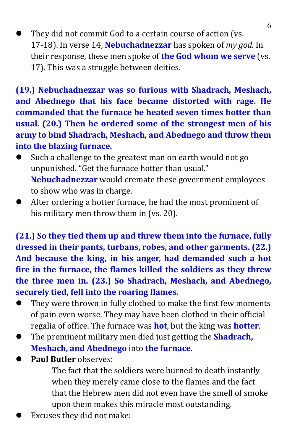They did not commit God to a certain course of action (vs. 17-18). In verse 14, **Nebuchadnezzar** has spoken of *my god*. In their response, these men spoke of **the God whom we serve** (vs. 17). This was a struggle between deities.

**(19.) Nebuchadnezzar was so furious with Shadrach, Meshach, and Abednego that his face became distorted with rage. He commanded that the furnace be heated seven times hotter than usual. (20.) Then he ordered some of the strongest men of his army to bind Shadrach, Meshach, and Abednego and throw them into the blazing furnace.**

- Such a challenge to the greatest man on earth would not go unpunished. "Get the furnace hotter than usual." **Nebuchadnezzar** would cremate these government employees to show who was in charge.
- After ordering a hotter furnace, he had the most prominent of his military men throw them in (vs. 20).

**(21.) So they tied them up and threw them into the furnace, fully dressed in their pants, turbans, robes, and other garments. (22.) And because the king, in his anger, had demanded such a hot fire in the furnace, the flames killed the soldiers as they threw the three men in. (23.) So Shadrach, Meshach, and Abednego, securely tied, fell into the roaring flames.**

- They were thrown in fully clothed to make the first few moments of pain even worse. They may have been clothed in their official regalia of office. The furnace was **hot**, but the king was **hotter**.
- The prominent military men died just getting the **Shadrach, Meshach, and Abednego** into **the furnace**.
- **Paul Butler** observes:

The fact that the soldiers were burned to death instantly when they merely came close to the flames and the fact that the Hebrew men did not even have the smell of smoke upon them makes this miracle most outstanding.

Excuses they did not make: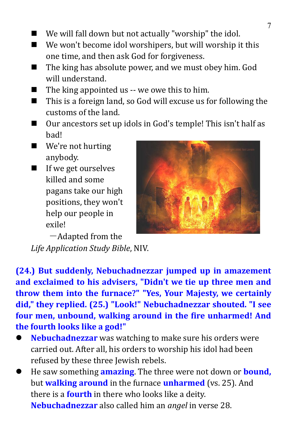- We will fall down but not actually "worship" the idol.
- We won't become idol worshipers, but will worship it this one time, and then ask God for forgiveness.
- $\blacksquare$  The king has absolute power, and we must obey him. God will understand.
- $\blacksquare$  The king appointed us -- we owe this to him.
- This is a foreign land, so God will excuse us for following the customs of the land.
- Our ancestors set up idols in God's temple! This isn't half as bad!
- We're not hurting anybody.
- If we get ourselves killed and some pagans take our high positions, they won't help our people in exile!



-Adapted from the

*Life Application Study Bible*, NIV.

**(24.) But suddenly, Nebuchadnezzar jumped up in amazement and exclaimed to his advisers, "Didn't we tie up three men and throw them into the furnace?" "Yes, Your Majesty, we certainly did," they replied. (25.) "Look!" Nebuchadnezzar shouted. "I see four men, unbound, walking around in the fire unharmed! And the fourth looks like a god!"**

- **Nebuchadnezzar** was watching to make sure his orders were carried out. After all, his orders to worship his idol had been refused by these three Jewish rebels.
- He saw something **amazing**. The three were not down or **bound,** but **walking around** in the furnace **unharmed** (vs. 25). And there is a **fourth** in there who looks like a deity. **Nebuchadnezzar** also called him an *angel* in verse 28.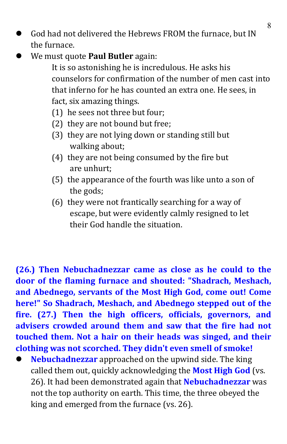- God had not delivered the Hebrews FROM the furnace, but IN the furnace.
- We must quote **Paul Butler** again:
	- It is so astonishing he is incredulous. He asks his counselors for confirmation of the number of men cast into that inferno for he has counted an extra one. He sees, in fact, six amazing things.
	- (1) he sees not three but four;
	- (2) they are not bound but free;
	- (3) they are not lying down or standing still but walking about;
	- (4) they are not being consumed by the fire but are unhurt;
	- (5) the appearance of the fourth was like unto ason of the gods;
	- (6) they were not frantically searching for a way of escape, but were evidently calmly resigned to let their God handle the situation.

**(26.) Then Nebuchadnezzar came as close ashe could to the door of the flaming furnace and shouted: "Shadrach, Meshach, and Abednego, servants of the Most High God, come out! Come here!" So Shadrach, Meshach, and Abednego stepped out of the fire. (27.) Then the high officers, officials, governors, and advisers crowded around them and saw thatthe fire had not touched them. Not a hair on their heads was singed, and their clothing was notscorched. They didn't even smell of smoke!**

 **Nebuchadnezzar** approached on the upwind side. The king called them out, quickly acknowledging the **Most High God** (vs. 26). It had been demonstrated again that **Nebuchadnezzar** was not the top authority on earth. This time, the three obeyed the king and emerged from the furnace (vs. 26).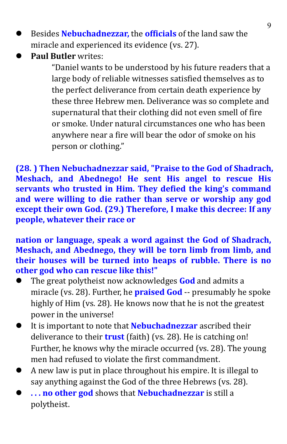- Besides **Nebuchadnezzar,** the **officials** of the land saw the miracle and experienced its evidence (vs. 27).
- **Paul Butler** writes:

"Daniel wants to be understood by his future readers that a large body of reliable witnesses satisfied themselves as to the perfect deliverance from certain death experience by these three Hebrew men. Deliverance was so complete and supernatural that their clothing did not even smell of fire or smoke. Under natural circumstances one who has been anywhere near a fire will bear the odor of smoke on his person or clothing."

**(28. ) Then Nebuchadnezzar said, "Praise to the God of Shadrach, Meshach, and Abednego! He sent His angel to rescue His servants who trusted in Him. They defied the king's command and were willing to die rather than serve or worship any god except their own God. (29.) Therefore, I make this decree: If any people, whatever their race or**

**nation or language, speak a word against the God of Shadrach, Meshach, and Abednego, they will be torn limb from limb, and their houses will be turned into heaps of rubble. There is no other god who can rescue like this!"**

- The great polytheist now acknowledges **God** and admits a miracle (vs. 28). Further, he **praised God** -- presumably he spoke highly of Him (vs. 28). He knows now that he is not the greatest power in the universe!
- It is important to note that **Nebuchadnezzar** ascribed their deliverance to their **trust** (faith) (vs. 28). He is catching on! Further, he knows why the miracle occurred (vs. 28). The young men had refused to violate the first commandment.
- A new law is putin place throughout his empire. It is illegal to say anything against the God of the three Hebrews (vs. 28).
- **. . . no other god** shows that **Nebuchadnezzar** is still a polytheist.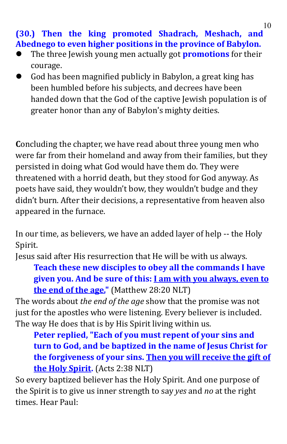**(30.) Then the king promoted Shadrach, Meshach, and Abednego to even higher positions in the province of Babylon.**

- The three Jewish young men actually got **promotions** for their courage.
- God has been magnified publicly in Babylon, a great king has been humbled before his subjects, and decrees have been handed down that the God of the captive Jewish population is of greater honor than any of Babylon's mighty deities.

**C**oncluding the chapter, we have read about three young men who were far from their homeland and away from their families, but they persisted in doing what God would have them do. They were threatened with a horrid death, but they stood for God anyway. As poets have said, they wouldn't bow, they wouldn't budge and they didn't burn. After their decisions, a representative from heaven also appeared in the furnace.

In our time, as believers, we have an added layer of help -- the Holy Spirit.

Jesus said after His resurrection that He will be with us always.

**Teach these new disciples to obey all the commands I have given you. And be sure of this: I am with you always, even to the end of the age."** (Matthew 28:20 NLT)

The words about *the end of the age* show that the promise was not just for the apostles who were listening. Every believer is included. The way He does that is by His Spirit living within us.

**Peter replied, "Each of you must repent of your sins and turn to God, and be baptized in the name ofJesus Christ for the forgiveness of your sins. Then you will receive the gift of the Holy Spirit.** (Acts 2:38 NLT)

So every baptized believer has the Holy Spirit. And one purpose of the Spirit is to give us inner strength to say *yes* and *no* at the right times. Hear Paul: